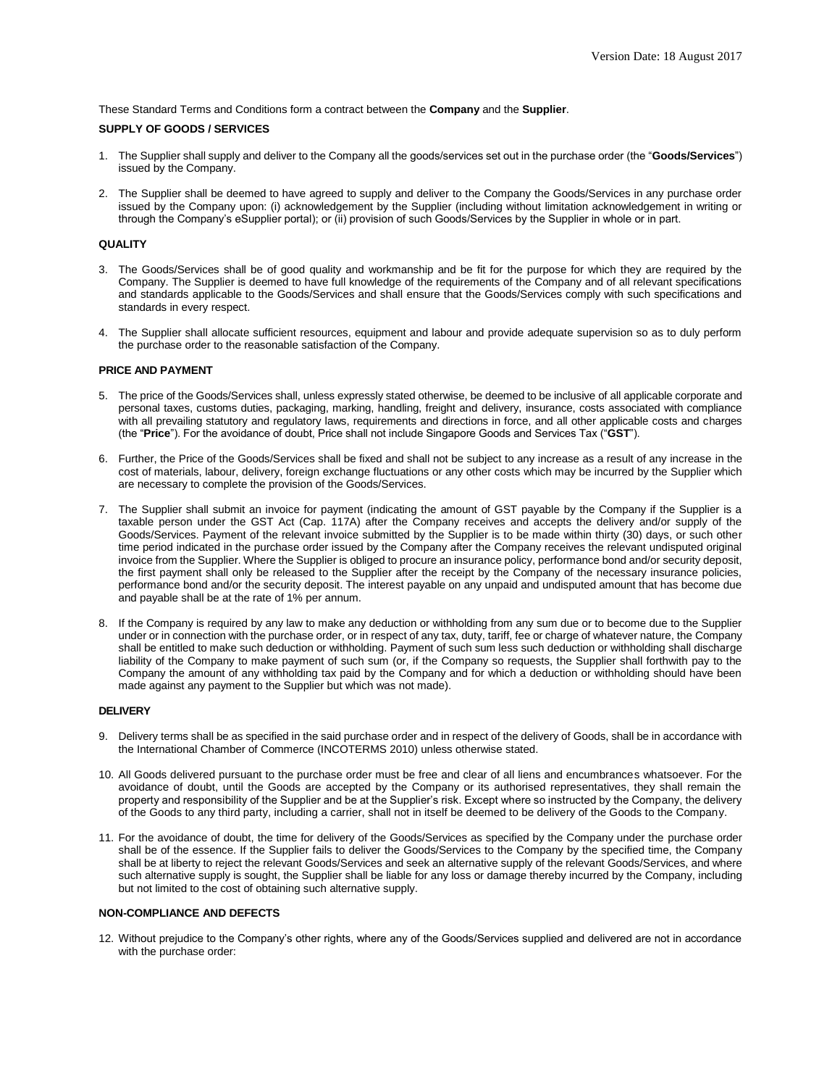These Standard Terms and Conditions form a contract between the **Company** and the **Supplier**.

# **SUPPLY OF GOODS / SERVICES**

- 1. The Supplier shall supply and deliver to the Company all the goods/services set out in the purchase order (the "**Goods/Services**") issued by the Company.
- 2. The Supplier shall be deemed to have agreed to supply and deliver to the Company the Goods/Services in any purchase order issued by the Company upon: (i) acknowledgement by the Supplier (including without limitation acknowledgement in writing or through the Company's eSupplier portal); or (ii) provision of such Goods/Services by the Supplier in whole or in part.

# **QUALITY**

- 3. The Goods/Services shall be of good quality and workmanship and be fit for the purpose for which they are required by the Company. The Supplier is deemed to have full knowledge of the requirements of the Company and of all relevant specifications and standards applicable to the Goods/Services and shall ensure that the Goods/Services comply with such specifications and standards in every respect.
- 4. The Supplier shall allocate sufficient resources, equipment and labour and provide adequate supervision so as to duly perform the purchase order to the reasonable satisfaction of the Company.

# **PRICE AND PAYMENT**

- 5. The price of the Goods/Services shall, unless expressly stated otherwise, be deemed to be inclusive of all applicable corporate and personal taxes, customs duties, packaging, marking, handling, freight and delivery, insurance, costs associated with compliance with all prevailing statutory and regulatory laws, requirements and directions in force, and all other applicable costs and charges (the "**Price**"). For the avoidance of doubt, Price shall not include Singapore Goods and Services Tax ("**GST**").
- 6. Further, the Price of the Goods/Services shall be fixed and shall not be subject to any increase as a result of any increase in the cost of materials, labour, delivery, foreign exchange fluctuations or any other costs which may be incurred by the Supplier which are necessary to complete the provision of the Goods/Services.
- 7. The Supplier shall submit an invoice for payment (indicating the amount of GST payable by the Company if the Supplier is a taxable person under the GST Act (Cap. 117A) after the Company receives and accepts the delivery and/or supply of the Goods/Services. Payment of the relevant invoice submitted by the Supplier is to be made within thirty (30) days, or such other time period indicated in the purchase order issued by the Company after the Company receives the relevant undisputed original invoice from the Supplier. Where the Supplier is obliged to procure an insurance policy, performance bond and/or security deposit, the first payment shall only be released to the Supplier after the receipt by the Company of the necessary insurance policies, performance bond and/or the security deposit. The interest payable on any unpaid and undisputed amount that has become due and payable shall be at the rate of 1% per annum.
- 8. If the Company is required by any law to make any deduction or withholding from any sum due or to become due to the Supplier under or in connection with the purchase order, or in respect of any tax, duty, tariff, fee or charge of whatever nature, the Company shall be entitled to make such deduction or withholding. Payment of such sum less such deduction or withholding shall discharge liability of the Company to make payment of such sum (or, if the Company so requests, the Supplier shall forthwith pay to the Company the amount of any withholding tax paid by the Company and for which a deduction or withholding should have been made against any payment to the Supplier but which was not made).

# **DELIVERY**

- 9. Delivery terms shall be as specified in the said purchase order and in respect of the delivery of Goods, shall be in accordance with the International Chamber of Commerce (INCOTERMS 2010) unless otherwise stated.
- 10. All Goods delivered pursuant to the purchase order must be free and clear of all liens and encumbrances whatsoever. For the avoidance of doubt, until the Goods are accepted by the Company or its authorised representatives, they shall remain the property and responsibility of the Supplier and be at the Supplier's risk. Except where so instructed by the Company, the delivery of the Goods to any third party, including a carrier, shall not in itself be deemed to be delivery of the Goods to the Company.
- 11. For the avoidance of doubt, the time for delivery of the Goods/Services as specified by the Company under the purchase order shall be of the essence. If the Supplier fails to deliver the Goods/Services to the Company by the specified time, the Company shall be at liberty to reject the relevant Goods/Services and seek an alternative supply of the relevant Goods/Services, and where such alternative supply is sought, the Supplier shall be liable for any loss or damage thereby incurred by the Company, including but not limited to the cost of obtaining such alternative supply.

# **NON-COMPLIANCE AND DEFECTS**

12. Without prejudice to the Company's other rights, where any of the Goods/Services supplied and delivered are not in accordance with the purchase order: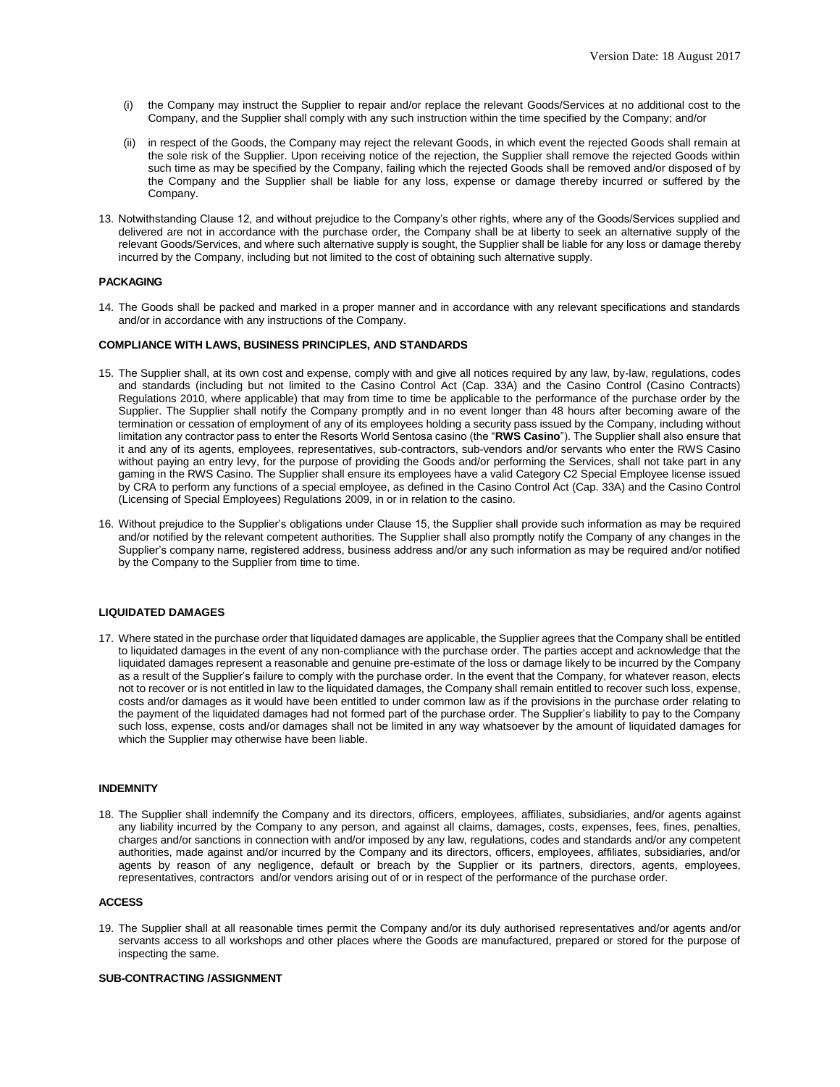- (i) the Company may instruct the Supplier to repair and/or replace the relevant Goods/Services at no additional cost to the Company, and the Supplier shall comply with any such instruction within the time specified by the Company; and/or
- (ii) in respect of the Goods, the Company may reject the relevant Goods, in which event the rejected Goods shall remain at the sole risk of the Supplier. Upon receiving notice of the rejection, the Supplier shall remove the rejected Goods within such time as may be specified by the Company, failing which the rejected Goods shall be removed and/or disposed of by the Company and the Supplier shall be liable for any loss, expense or damage thereby incurred or suffered by the Company.
- 13. Notwithstanding Clause 12, and without prejudice to the Company's other rights, where any of the Goods/Services supplied and delivered are not in accordance with the purchase order, the Company shall be at liberty to seek an alternative supply of the relevant Goods/Services, and where such alternative supply is sought, the Supplier shall be liable for any loss or damage thereby incurred by the Company, including but not limited to the cost of obtaining such alternative supply.

# **PACKAGING**

14. The Goods shall be packed and marked in a proper manner and in accordance with any relevant specifications and standards and/or in accordance with any instructions of the Company.

# **COMPLIANCE WITH LAWS, BUSINESS PRINCIPLES, AND STANDARDS**

- 15. The Supplier shall, at its own cost and expense, comply with and give all notices required by any law, by-law, regulations, codes and standards (including but not limited to the Casino Control Act (Cap. 33A) and the Casino Control (Casino Contracts) Regulations 2010, where applicable) that may from time to time be applicable to the performance of the purchase order by the Supplier. The Supplier shall notify the Company promptly and in no event longer than 48 hours after becoming aware of the termination or cessation of employment of any of its employees holding a security pass issued by the Company, including without limitation any contractor pass to enter the Resorts World Sentosa casino (the "**RWS Casino**"). The Supplier shall also ensure that it and any of its agents, employees, representatives, sub-contractors, sub-vendors and/or servants who enter the RWS Casino without paying an entry levy, for the purpose of providing the Goods and/or performing the Services, shall not take part in any gaming in the RWS Casino. The Supplier shall ensure its employees have a valid Category C2 Special Employee license issued by CRA to perform any functions of a special employee, as defined in the Casino Control Act (Cap. 33A) and the Casino Control (Licensing of Special Employees) Regulations 2009, in or in relation to the casino.
- 16. Without prejudice to the Supplier's obligations under Clause 15, the Supplier shall provide such information as may be required and/or notified by the relevant competent authorities. The Supplier shall also promptly notify the Company of any changes in the Supplier's company name, registered address, business address and/or any such information as may be required and/or notified by the Company to the Supplier from time to time.

# **LIQUIDATED DAMAGES**

17. Where stated in the purchase order that liquidated damages are applicable, the Supplier agrees that the Company shall be entitled to liquidated damages in the event of any non-compliance with the purchase order. The parties accept and acknowledge that the liquidated damages represent a reasonable and genuine pre-estimate of the loss or damage likely to be incurred by the Company as a result of the Supplier's failure to comply with the purchase order. In the event that the Company, for whatever reason, elects not to recover or is not entitled in law to the liquidated damages, the Company shall remain entitled to recover such loss, expense, costs and/or damages as it would have been entitled to under common law as if the provisions in the purchase order relating to the payment of the liquidated damages had not formed part of the purchase order. The Supplier's liability to pay to the Company such loss, expense, costs and/or damages shall not be limited in any way whatsoever by the amount of liquidated damages for which the Supplier may otherwise have been liable.

#### **INDEMNITY**

18. The Supplier shall indemnify the Company and its directors, officers, employees, affiliates, subsidiaries, and/or agents against any liability incurred by the Company to any person, and against all claims, damages, costs, expenses, fees, fines, penalties, charges and/or sanctions in connection with and/or imposed by any law, regulations, codes and standards and/or any competent authorities, made against and/or incurred by the Company and its directors, officers, employees, affiliates, subsidiaries, and/or agents by reason of any negligence, default or breach by the Supplier or its partners, directors, agents, employees, representatives, contractors and/or vendors arising out of or in respect of the performance of the purchase order.

#### **ACCESS**

19. The Supplier shall at all reasonable times permit the Company and/or its duly authorised representatives and/or agents and/or servants access to all workshops and other places where the Goods are manufactured, prepared or stored for the purpose of inspecting the same.

#### **SUB-CONTRACTING /ASSIGNMENT**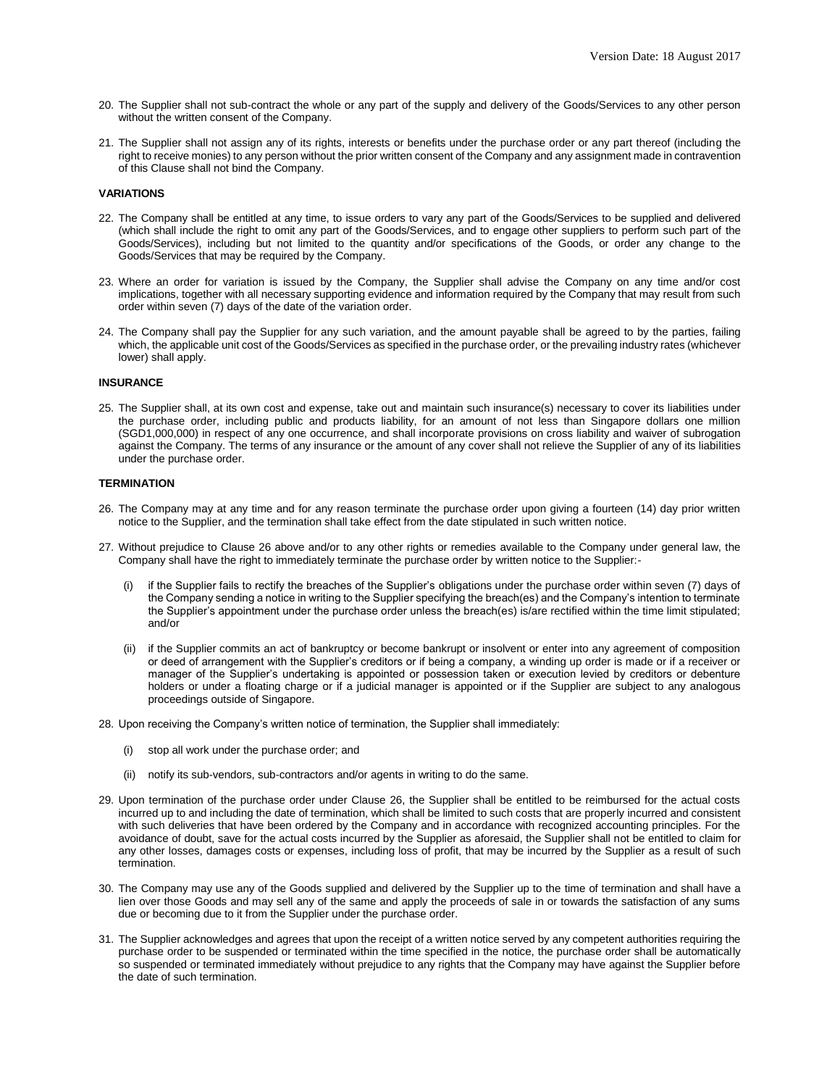- 20. The Supplier shall not sub-contract the whole or any part of the supply and delivery of the Goods/Services to any other person without the written consent of the Company.
- 21. The Supplier shall not assign any of its rights, interests or benefits under the purchase order or any part thereof (including the right to receive monies) to any person without the prior written consent of the Company and any assignment made in contravention of this Clause shall not bind the Company.

## **VARIATIONS**

- 22. The Company shall be entitled at any time, to issue orders to vary any part of the Goods/Services to be supplied and delivered (which shall include the right to omit any part of the Goods/Services, and to engage other suppliers to perform such part of the Goods/Services), including but not limited to the quantity and/or specifications of the Goods, or order any change to the Goods/Services that may be required by the Company.
- 23. Where an order for variation is issued by the Company, the Supplier shall advise the Company on any time and/or cost implications, together with all necessary supporting evidence and information required by the Company that may result from such order within seven (7) days of the date of the variation order.
- 24. The Company shall pay the Supplier for any such variation, and the amount payable shall be agreed to by the parties, failing which, the applicable unit cost of the Goods/Services as specified in the purchase order, or the prevailing industry rates (whichever lower) shall apply.

## **INSURANCE**

25. The Supplier shall, at its own cost and expense, take out and maintain such insurance(s) necessary to cover its liabilities under the purchase order, including public and products liability, for an amount of not less than Singapore dollars one million (SGD1,000,000) in respect of any one occurrence, and shall incorporate provisions on cross liability and waiver of subrogation against the Company. The terms of any insurance or the amount of any cover shall not relieve the Supplier of any of its liabilities under the purchase order.

#### **TERMINATION**

- 26. The Company may at any time and for any reason terminate the purchase order upon giving a fourteen (14) day prior written notice to the Supplier, and the termination shall take effect from the date stipulated in such written notice.
- 27. Without prejudice to Clause 26 above and/or to any other rights or remedies available to the Company under general law, the Company shall have the right to immediately terminate the purchase order by written notice to the Supplier:
	- if the Supplier fails to rectify the breaches of the Supplier's obligations under the purchase order within seven (7) days of the Company sending a notice in writing to the Supplier specifying the breach(es) and the Company's intention to terminate the Supplier's appointment under the purchase order unless the breach(es) is/are rectified within the time limit stipulated; and/or
	- (ii) if the Supplier commits an act of bankruptcy or become bankrupt or insolvent or enter into any agreement of composition or deed of arrangement with the Supplier's creditors or if being a company, a winding up order is made or if a receiver or manager of the Supplier's undertaking is appointed or possession taken or execution levied by creditors or debenture holders or under a floating charge or if a judicial manager is appointed or if the Supplier are subject to any analogous proceedings outside of Singapore.
- 28. Upon receiving the Company's written notice of termination, the Supplier shall immediately:
	- (i) stop all work under the purchase order; and
	- (ii) notify its sub-vendors, sub-contractors and/or agents in writing to do the same.
- 29. Upon termination of the purchase order under Clause 26, the Supplier shall be entitled to be reimbursed for the actual costs incurred up to and including the date of termination, which shall be limited to such costs that are properly incurred and consistent with such deliveries that have been ordered by the Company and in accordance with recognized accounting principles. For the avoidance of doubt, save for the actual costs incurred by the Supplier as aforesaid, the Supplier shall not be entitled to claim for any other losses, damages costs or expenses, including loss of profit, that may be incurred by the Supplier as a result of such termination.
- 30. The Company may use any of the Goods supplied and delivered by the Supplier up to the time of termination and shall have a lien over those Goods and may sell any of the same and apply the proceeds of sale in or towards the satisfaction of any sums due or becoming due to it from the Supplier under the purchase order.
- 31. The Supplier acknowledges and agrees that upon the receipt of a written notice served by any competent authorities requiring the purchase order to be suspended or terminated within the time specified in the notice, the purchase order shall be automatically so suspended or terminated immediately without prejudice to any rights that the Company may have against the Supplier before the date of such termination.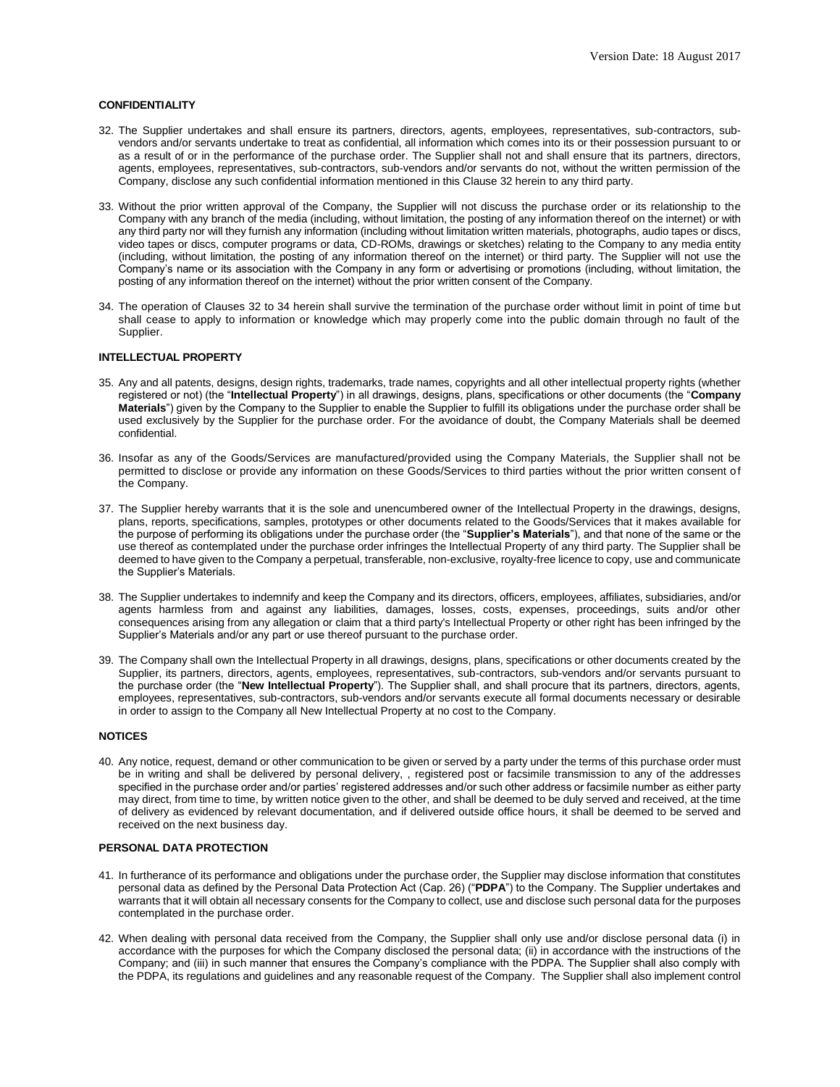# **CONFIDENTIALITY**

- 32. The Supplier undertakes and shall ensure its partners, directors, agents, employees, representatives, sub-contractors, subvendors and/or servants undertake to treat as confidential, all information which comes into its or their possession pursuant to or as a result of or in the performance of the purchase order. The Supplier shall not and shall ensure that its partners, directors, agents, employees, representatives, sub-contractors, sub-vendors and/or servants do not, without the written permission of the Company, disclose any such confidential information mentioned in this Clause 32 herein to any third party.
- 33. Without the prior written approval of the Company, the Supplier will not discuss the purchase order or its relationship to the Company with any branch of the media (including, without limitation, the posting of any information thereof on the internet) or with any third party nor will they furnish any information (including without limitation written materials, photographs, audio tapes or discs, video tapes or discs, computer programs or data, CD-ROMs, drawings or sketches) relating to the Company to any media entity (including, without limitation, the posting of any information thereof on the internet) or third party. The Supplier will not use the Company's name or its association with the Company in any form or advertising or promotions (including, without limitation, the posting of any information thereof on the internet) without the prior written consent of the Company.
- 34. The operation of Clauses 32 to 34 herein shall survive the termination of the purchase order without limit in point of time but shall cease to apply to information or knowledge which may properly come into the public domain through no fault of the Supplier.

# **INTELLECTUAL PROPERTY**

- 35. Any and all patents, designs, design rights, trademarks, trade names, copyrights and all other intellectual property rights (whether registered or not) (the "**Intellectual Property**") in all drawings, designs, plans, specifications or other documents (the "**Company Materials**") given by the Company to the Supplier to enable the Supplier to fulfill its obligations under the purchase order shall be used exclusively by the Supplier for the purchase order. For the avoidance of doubt, the Company Materials shall be deemed confidential.
- 36. Insofar as any of the Goods/Services are manufactured/provided using the Company Materials, the Supplier shall not be permitted to disclose or provide any information on these Goods/Services to third parties without the prior written consent of the Company.
- 37. The Supplier hereby warrants that it is the sole and unencumbered owner of the Intellectual Property in the drawings, designs, plans, reports, specifications, samples, prototypes or other documents related to the Goods/Services that it makes available for the purpose of performing its obligations under the purchase order (the "**Supplier's Materials**"), and that none of the same or the use thereof as contemplated under the purchase order infringes the Intellectual Property of any third party. The Supplier shall be deemed to have given to the Company a perpetual, transferable, non-exclusive, royalty-free licence to copy, use and communicate the Supplier's Materials.
- 38. The Supplier undertakes to indemnify and keep the Company and its directors, officers, employees, affiliates, subsidiaries, and/or agents harmless from and against any liabilities, damages, losses, costs, expenses, proceedings, suits and/or other consequences arising from any allegation or claim that a third party's Intellectual Property or other right has been infringed by the Supplier's Materials and/or any part or use thereof pursuant to the purchase order.
- 39. The Company shall own the Intellectual Property in all drawings, designs, plans, specifications or other documents created by the Supplier, its partners, directors, agents, employees, representatives, sub-contractors, sub-vendors and/or servants pursuant to the purchase order (the "**New Intellectual Property**"). The Supplier shall, and shall procure that its partners, directors, agents, employees, representatives, sub-contractors, sub-vendors and/or servants execute all formal documents necessary or desirable in order to assign to the Company all New Intellectual Property at no cost to the Company.

# **NOTICES**

40. Any notice, request, demand or other communication to be given or served by a party under the terms of this purchase order must be in writing and shall be delivered by personal delivery, , registered post or facsimile transmission to any of the addresses specified in the purchase order and/or parties' registered addresses and/or such other address or facsimile number as either party may direct, from time to time, by written notice given to the other, and shall be deemed to be duly served and received, at the time of delivery as evidenced by relevant documentation, and if delivered outside office hours, it shall be deemed to be served and received on the next business day.

## **PERSONAL DATA PROTECTION**

- 41. In furtherance of its performance and obligations under the purchase order, the Supplier may disclose information that constitutes personal data as defined by the Personal Data Protection Act (Cap. 26) ("**PDPA**") to the Company. The Supplier undertakes and warrants that it will obtain all necessary consents for the Company to collect, use and disclose such personal data for the purposes contemplated in the purchase order.
- 42. When dealing with personal data received from the Company, the Supplier shall only use and/or disclose personal data (i) in accordance with the purposes for which the Company disclosed the personal data; (ii) in accordance with the instructions of the Company; and (iii) in such manner that ensures the Company's compliance with the PDPA. The Supplier shall also comply with the PDPA, its regulations and guidelines and any reasonable request of the Company. The Supplier shall also implement control